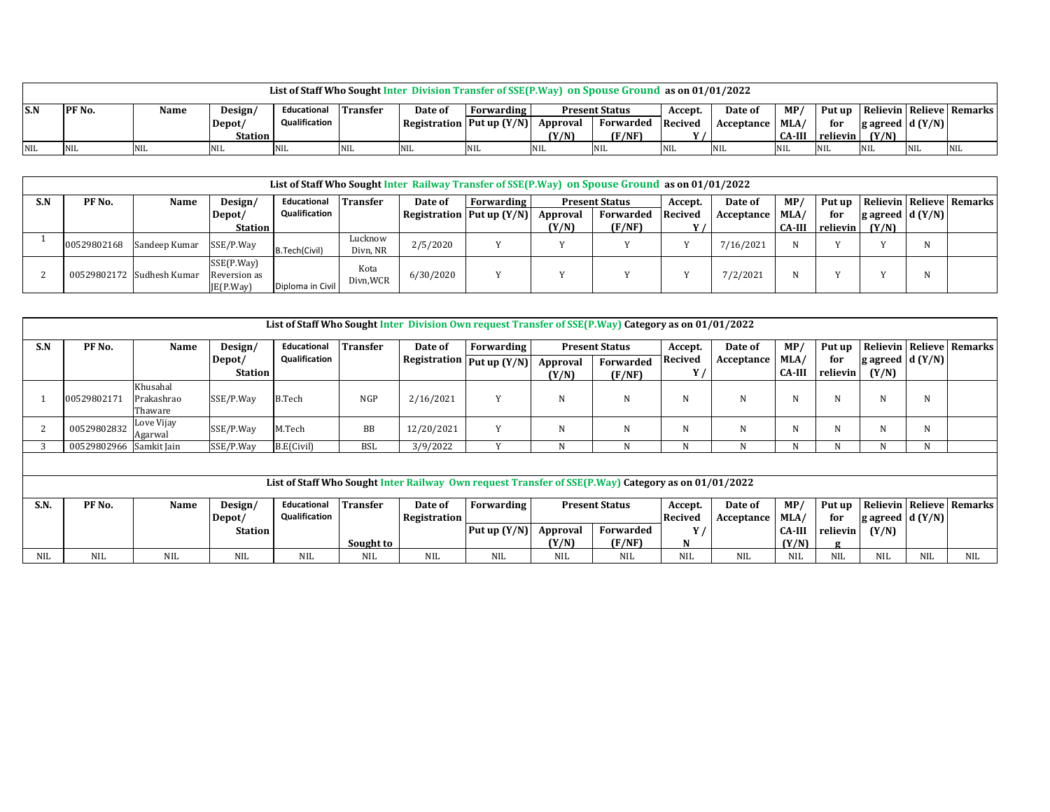|                      | List of Staff Who Sought Inter Division Transfer of SSE(P.Way) on Spouse Ground as on 01/01/2022 |      |         |               |            |                           |            |                       |             |            |                 |     |                    |                                           |            |     |
|----------------------|--------------------------------------------------------------------------------------------------|------|---------|---------------|------------|---------------------------|------------|-----------------------|-------------|------------|-----------------|-----|--------------------|-------------------------------------------|------------|-----|
| S.N<br><b>PF</b> No. |                                                                                                  | Name | Design/ | Educational   | Transfer   | Date of                   | Forwarding | <b>Present Status</b> |             | Accept.    | Date of         | MP/ |                    | Put up   Relievin   Relieve   Remarks     |            |     |
|                      |                                                                                                  |      | Depot/  | Qualification |            | Registration Put up (Y/N) |            | Approval              | Forwarded   | Recived    | Acceptance MLA/ |     | for                | $g \, \text{agreed} \, \text{d} \, (Y/N)$ |            |     |
|                      |                                                                                                  |      | Station |               |            |                           |            | (Y/N)                 | (F/NF)      |            |                 |     | CA-III    relievin | (Y/N)                                     |            |     |
| NIL<br>- NIL         |                                                                                                  |      |         |               | <b>NIL</b> | <b>NIL</b>                | <b>NIL</b> |                       | <b>INIL</b> | <b>NIL</b> | <b>NIL</b>      |     |                    | <b>NIL</b>                                | <b>NIL</b> | NIL |

|     | List of Staff Who Sought Inter Railway Transfer of SSE(P.Way) on Spouse Ground as on 01/01/2022 |                           |                                        |                  |                     |           |                                      |                       |           |         |                 |               |          |                         |   |                                 |
|-----|-------------------------------------------------------------------------------------------------|---------------------------|----------------------------------------|------------------|---------------------|-----------|--------------------------------------|-----------------------|-----------|---------|-----------------|---------------|----------|-------------------------|---|---------------------------------|
| S.N | PF <sub>No.</sub>                                                                               | Name                      | Design/                                | Educational      | <b>Transfer</b>     | Date of   | <b>Forwarding</b>                    | <b>Present Status</b> |           | Accept. | Date of         | MP/           |          |                         |   | Put up Relievin Relieve Remarks |
|     |                                                                                                 |                           | Depot/                                 | Qualification    |                     |           | Registration Put up $(Y/N)$ Approval |                       | Forwarded | Recived | Acceptance MLA/ |               | for      | $ $ g agreed $ d(Y/N) $ |   |                                 |
|     |                                                                                                 |                           | <b>Station</b>                         |                  |                     |           |                                      | (Y/N)                 | (F/NF)    |         |                 | <b>CA-III</b> | relievin | (Y/N)                   |   |                                 |
|     | 00529802168                                                                                     | Sandeep Kumar             | SSE/P.Way                              | B.Tech(Civil)    | Lucknow<br>Divn, NR | 2/5/2020  |                                      |                       |           |         | 7/16/2021       | N             |          |                         |   |                                 |
|     |                                                                                                 | 00529802172 Sudhesh Kumar | SSE(P.Way)<br>Reversion as<br>E(P.Way) | Diploma in Civil | Kota<br>Divn, WCR   | 6/30/2020 |                                      |                       |           |         | 7/2/2021        | N             |          |                         | N |                                 |

|            | List of Staff Who Sought Inter Division Own request Transfer of SSE(P.Way) Category as on 01/01/2022 |                                   |                          |               |                 |              |                                      |                       |                       |            |            |                       |                 |                            |      |                |
|------------|------------------------------------------------------------------------------------------------------|-----------------------------------|--------------------------|---------------|-----------------|--------------|--------------------------------------|-----------------------|-----------------------|------------|------------|-----------------------|-----------------|----------------------------|------|----------------|
| S.N        | PF No.                                                                                               | Name                              | Design/                  | Educational   | <b>Transfer</b> | Date of      | Forwarding                           | <b>Present Status</b> |                       | Accept.    | Date of    | MP                    | Put up          | Relievin   Relieve         |      | Remarks        |
|            |                                                                                                      |                                   | Depot/<br><b>Station</b> | Qualification |                 |              | Registration $\sqrt{P}ut$ up $(Y/N)$ | Approval<br>(Y/N)     | Forwarded<br>(F/NF)   | Recived    | Acceptance | MLA/<br><b>CA-III</b> | for<br>relievin | g agreed $d(Y/N)$<br>(Y/N) |      |                |
|            | 00529802171                                                                                          | Khusahal<br>Prakashrao<br>Thaware | SSE/P.Way                | <b>B.Tech</b> | <b>NGP</b>      | 2/16/2021    | Y                                    | N                     | N                     | N          | N          | N                     | N               |                            | N    |                |
| 2          | 00529802832                                                                                          | Love Vijay<br>Agarwal             | SSE/P.Way                | M.Tech        | BB              | 12/20/2021   | Y                                    | N                     | N                     | N          | N          | N                     | N               | N                          | N    |                |
|            | 00529802966 Samkit Jain                                                                              |                                   | SSE/P.Way                | B.E(Civil)    | <b>BSL</b>      | 3/9/2022     | V                                    | N                     | N                     | N          |            | N                     | N               |                            | N    |                |
|            |                                                                                                      |                                   |                          |               |                 |              |                                      |                       |                       |            |            |                       |                 |                            |      |                |
|            | List of Staff Who Sought Inter Railway Own request Transfer of SSE(P.Way) Category as on 01/01/2022  |                                   |                          |               |                 |              |                                      |                       |                       |            |            |                       |                 |                            |      |                |
| S.N.       | PF No.                                                                                               | Name                              | Design/                  | Educational   | <b>Transfer</b> | Date of      | Forwarding                           |                       | <b>Present Status</b> | Accept.    | Date of    | MP/                   | Put up          | Relievin Relieve           |      | <b>Remarks</b> |
|            |                                                                                                      |                                   | Depot/                   | Qualification |                 | Registration |                                      |                       |                       | Recived    | Acceptance | MLA/                  | for             | g agreed $d(Y/N)$          |      |                |
|            |                                                                                                      |                                   | <b>Station</b>           |               |                 |              | Put up $(Y/N)$                       | Approval              | Forwarded             | Υ,         |            | <b>CA-III</b>         | relievin        | (Y/N)                      |      |                |
|            |                                                                                                      |                                   |                          |               | Sought to       |              |                                      | (Y/N)                 | (F/NF)                | N          |            | (Y/N)                 | $\sigma$        |                            |      |                |
| <b>NIL</b> | NIL.                                                                                                 | <b>NIL</b>                        | NIL.                     | NIL.          | NIL.            | <b>NIL</b>   | <b>NIL</b>                           | NIL.                  | NIL.                  | <b>NIL</b> | <b>NIL</b> | NIL                   | <b>NIL</b>      | NIL                        | NIL. | <b>NIL</b>     |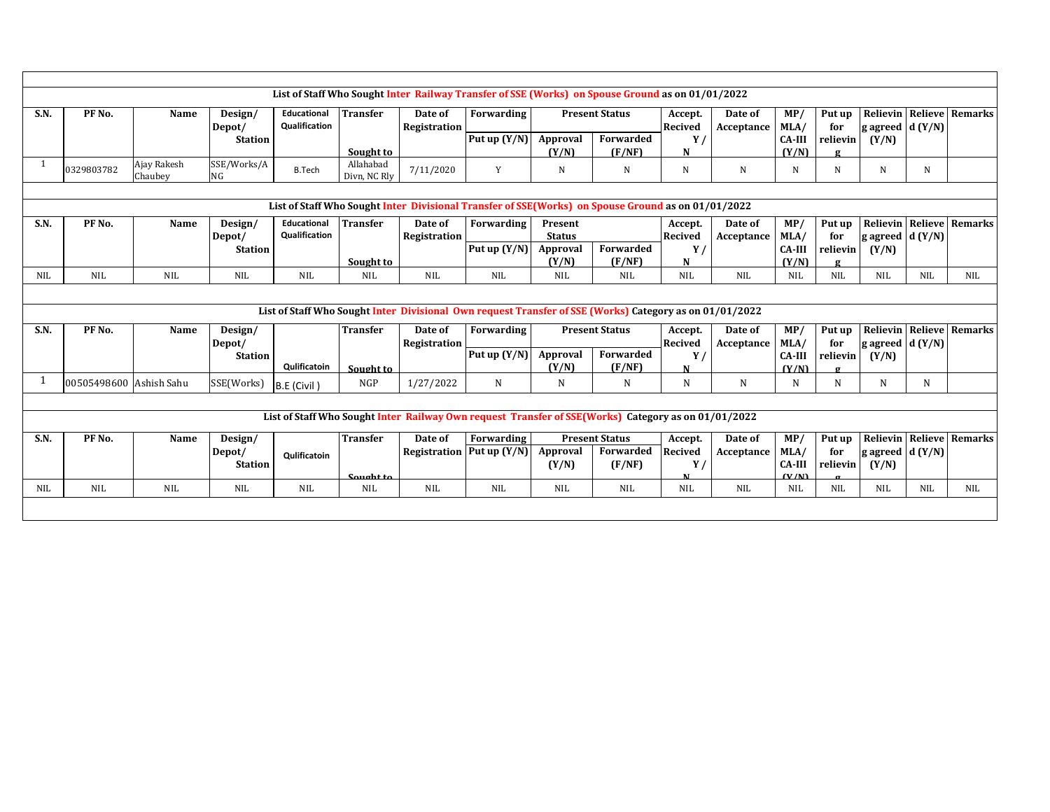| List of Staff Who Sought Inter Railway Transfer of SSE (Works) on Spouse Ground as on 01/01/2022<br>S.N.<br>PF No.<br><b>Transfer</b><br><b>Present Status</b><br>Relievin Relieve Remarks<br>Name<br>Educational<br>Date of<br>Forwarding<br>Date of<br>MP<br>Put up<br>Design/<br>Accept.<br><b>Qualification</b><br>Recived<br>MLA/<br>g agreed $d(Y/N)$<br>Registration<br>for<br>Depot/<br>Acceptance<br>Put up $(Y/N)$<br>Forwarded<br>Approval<br>Y/<br><b>Station</b><br><b>CA-III</b><br>relievin<br>(Y/N)<br>(Y/N)<br>(F/NF)<br>(Y/N)<br>Sought to<br>N<br>$\sigma$<br>SSE/Works/A<br>Ajay Rakesh<br>Allahabad<br>$\mathbf{1}$<br><b>B.Tech</b><br>0329803782<br>7/11/2020<br>Y<br>N<br>N<br>N<br>N<br>N<br>N<br>N<br>N<br>Chaubey<br>Divn. NC Rlv<br>NG<br>List of Staff Who Sought Inter Divisional Transfer of SSE(Works) on Spouse Ground as on 01/01/2022<br>Educational<br><b>Transfer</b><br><b>Relievin Relieve Remarks</b><br>S.N.<br>PF No.<br>Date of<br>Forwarding<br>Present<br>Date of<br>MP/<br>Put up<br>Name<br>Design/<br>Accept.<br><b>Qualification</b><br><b>Recived</b><br>MLA/<br>Registration<br><b>Status</b><br>for<br>g agreed $d(Y/N)$<br>Depot/<br>Acceptance<br>Put up $(Y/N)$<br>Forwarded<br>Approval<br>Y/<br><b>Station</b><br><b>CA-III</b><br>relievin<br>(Y/N)<br>(Y/N)<br>(F/NF)<br>(Y/N)<br>Sought to<br>N<br><b>NIL</b><br><b>NIL</b><br><b>NIL</b><br><b>NIL</b><br><b>NIL</b><br><b>NIL</b><br><b>NIL</b><br><b>NIL</b><br><b>NIL</b><br><b>NIL</b><br><b>NIL</b><br><b>NIL</b><br><b>NIL</b><br>NIL<br><b>NIL</b><br><b>NIL</b><br><b>NIL</b><br>List of Staff Who Sought Inter Divisional Own request Transfer of SSE (Works) Category as on 01/01/2022<br>S.N.<br>PF No.<br><b>Transfer</b><br>Forwarding<br>MP/<br>Relievin Relieve Remarks<br>Name<br>Design/<br>Date of<br><b>Present Status</b><br>Date of<br>Put up<br>Accept.<br>Recived<br>MLA/<br>g agreed $d(Y/N)$<br>Depot/<br>Registration<br>Acceptance<br>for<br>Put up $(Y/N)$<br>Forwarded<br>Approval<br>Y<br><b>Station</b><br>CA-III<br>relievin<br>(Y/N)<br>Qulificatoin<br>(Y/N)<br>(F/NF)<br>(Y/N)<br>Sought to<br>N<br>$\sigma$<br>1<br>N<br>00505498600 Ashish Sahu<br>SSE(Works)<br>NGP<br>1/27/2022<br>N<br>N<br>N<br>N<br>N<br>N<br>N<br>N<br>B.E (Civil)<br>List of Staff Who Sought Inter Railway Own request Transfer of SSE(Works) Category as on 01/01/2022 |  |  |  |  |  |  |  |  |  |  |  |  |  |  |  |  |  |
|---------------------------------------------------------------------------------------------------------------------------------------------------------------------------------------------------------------------------------------------------------------------------------------------------------------------------------------------------------------------------------------------------------------------------------------------------------------------------------------------------------------------------------------------------------------------------------------------------------------------------------------------------------------------------------------------------------------------------------------------------------------------------------------------------------------------------------------------------------------------------------------------------------------------------------------------------------------------------------------------------------------------------------------------------------------------------------------------------------------------------------------------------------------------------------------------------------------------------------------------------------------------------------------------------------------------------------------------------------------------------------------------------------------------------------------------------------------------------------------------------------------------------------------------------------------------------------------------------------------------------------------------------------------------------------------------------------------------------------------------------------------------------------------------------------------------------------------------------------------------------------------------------------------------------------------------------------------------------------------------------------------------------------------------------------------------------------------------------------------------------------------------------------------------------------------------------------------------------------------------------------------------------------------------------------------------------------------------------------------------------------------------------|--|--|--|--|--|--|--|--|--|--|--|--|--|--|--|--|--|
|                                                                                                                                                                                                                                                                                                                                                                                                                                                                                                                                                                                                                                                                                                                                                                                                                                                                                                                                                                                                                                                                                                                                                                                                                                                                                                                                                                                                                                                                                                                                                                                                                                                                                                                                                                                                                                                                                                                                                                                                                                                                                                                                                                                                                                                                                                                                                                                                   |  |  |  |  |  |  |  |  |  |  |  |  |  |  |  |  |  |
|                                                                                                                                                                                                                                                                                                                                                                                                                                                                                                                                                                                                                                                                                                                                                                                                                                                                                                                                                                                                                                                                                                                                                                                                                                                                                                                                                                                                                                                                                                                                                                                                                                                                                                                                                                                                                                                                                                                                                                                                                                                                                                                                                                                                                                                                                                                                                                                                   |  |  |  |  |  |  |  |  |  |  |  |  |  |  |  |  |  |
|                                                                                                                                                                                                                                                                                                                                                                                                                                                                                                                                                                                                                                                                                                                                                                                                                                                                                                                                                                                                                                                                                                                                                                                                                                                                                                                                                                                                                                                                                                                                                                                                                                                                                                                                                                                                                                                                                                                                                                                                                                                                                                                                                                                                                                                                                                                                                                                                   |  |  |  |  |  |  |  |  |  |  |  |  |  |  |  |  |  |
|                                                                                                                                                                                                                                                                                                                                                                                                                                                                                                                                                                                                                                                                                                                                                                                                                                                                                                                                                                                                                                                                                                                                                                                                                                                                                                                                                                                                                                                                                                                                                                                                                                                                                                                                                                                                                                                                                                                                                                                                                                                                                                                                                                                                                                                                                                                                                                                                   |  |  |  |  |  |  |  |  |  |  |  |  |  |  |  |  |  |
|                                                                                                                                                                                                                                                                                                                                                                                                                                                                                                                                                                                                                                                                                                                                                                                                                                                                                                                                                                                                                                                                                                                                                                                                                                                                                                                                                                                                                                                                                                                                                                                                                                                                                                                                                                                                                                                                                                                                                                                                                                                                                                                                                                                                                                                                                                                                                                                                   |  |  |  |  |  |  |  |  |  |  |  |  |  |  |  |  |  |
|                                                                                                                                                                                                                                                                                                                                                                                                                                                                                                                                                                                                                                                                                                                                                                                                                                                                                                                                                                                                                                                                                                                                                                                                                                                                                                                                                                                                                                                                                                                                                                                                                                                                                                                                                                                                                                                                                                                                                                                                                                                                                                                                                                                                                                                                                                                                                                                                   |  |  |  |  |  |  |  |  |  |  |  |  |  |  |  |  |  |
|                                                                                                                                                                                                                                                                                                                                                                                                                                                                                                                                                                                                                                                                                                                                                                                                                                                                                                                                                                                                                                                                                                                                                                                                                                                                                                                                                                                                                                                                                                                                                                                                                                                                                                                                                                                                                                                                                                                                                                                                                                                                                                                                                                                                                                                                                                                                                                                                   |  |  |  |  |  |  |  |  |  |  |  |  |  |  |  |  |  |
|                                                                                                                                                                                                                                                                                                                                                                                                                                                                                                                                                                                                                                                                                                                                                                                                                                                                                                                                                                                                                                                                                                                                                                                                                                                                                                                                                                                                                                                                                                                                                                                                                                                                                                                                                                                                                                                                                                                                                                                                                                                                                                                                                                                                                                                                                                                                                                                                   |  |  |  |  |  |  |  |  |  |  |  |  |  |  |  |  |  |
|                                                                                                                                                                                                                                                                                                                                                                                                                                                                                                                                                                                                                                                                                                                                                                                                                                                                                                                                                                                                                                                                                                                                                                                                                                                                                                                                                                                                                                                                                                                                                                                                                                                                                                                                                                                                                                                                                                                                                                                                                                                                                                                                                                                                                                                                                                                                                                                                   |  |  |  |  |  |  |  |  |  |  |  |  |  |  |  |  |  |
|                                                                                                                                                                                                                                                                                                                                                                                                                                                                                                                                                                                                                                                                                                                                                                                                                                                                                                                                                                                                                                                                                                                                                                                                                                                                                                                                                                                                                                                                                                                                                                                                                                                                                                                                                                                                                                                                                                                                                                                                                                                                                                                                                                                                                                                                                                                                                                                                   |  |  |  |  |  |  |  |  |  |  |  |  |  |  |  |  |  |
|                                                                                                                                                                                                                                                                                                                                                                                                                                                                                                                                                                                                                                                                                                                                                                                                                                                                                                                                                                                                                                                                                                                                                                                                                                                                                                                                                                                                                                                                                                                                                                                                                                                                                                                                                                                                                                                                                                                                                                                                                                                                                                                                                                                                                                                                                                                                                                                                   |  |  |  |  |  |  |  |  |  |  |  |  |  |  |  |  |  |
|                                                                                                                                                                                                                                                                                                                                                                                                                                                                                                                                                                                                                                                                                                                                                                                                                                                                                                                                                                                                                                                                                                                                                                                                                                                                                                                                                                                                                                                                                                                                                                                                                                                                                                                                                                                                                                                                                                                                                                                                                                                                                                                                                                                                                                                                                                                                                                                                   |  |  |  |  |  |  |  |  |  |  |  |  |  |  |  |  |  |
|                                                                                                                                                                                                                                                                                                                                                                                                                                                                                                                                                                                                                                                                                                                                                                                                                                                                                                                                                                                                                                                                                                                                                                                                                                                                                                                                                                                                                                                                                                                                                                                                                                                                                                                                                                                                                                                                                                                                                                                                                                                                                                                                                                                                                                                                                                                                                                                                   |  |  |  |  |  |  |  |  |  |  |  |  |  |  |  |  |  |
|                                                                                                                                                                                                                                                                                                                                                                                                                                                                                                                                                                                                                                                                                                                                                                                                                                                                                                                                                                                                                                                                                                                                                                                                                                                                                                                                                                                                                                                                                                                                                                                                                                                                                                                                                                                                                                                                                                                                                                                                                                                                                                                                                                                                                                                                                                                                                                                                   |  |  |  |  |  |  |  |  |  |  |  |  |  |  |  |  |  |
|                                                                                                                                                                                                                                                                                                                                                                                                                                                                                                                                                                                                                                                                                                                                                                                                                                                                                                                                                                                                                                                                                                                                                                                                                                                                                                                                                                                                                                                                                                                                                                                                                                                                                                                                                                                                                                                                                                                                                                                                                                                                                                                                                                                                                                                                                                                                                                                                   |  |  |  |  |  |  |  |  |  |  |  |  |  |  |  |  |  |
|                                                                                                                                                                                                                                                                                                                                                                                                                                                                                                                                                                                                                                                                                                                                                                                                                                                                                                                                                                                                                                                                                                                                                                                                                                                                                                                                                                                                                                                                                                                                                                                                                                                                                                                                                                                                                                                                                                                                                                                                                                                                                                                                                                                                                                                                                                                                                                                                   |  |  |  |  |  |  |  |  |  |  |  |  |  |  |  |  |  |
|                                                                                                                                                                                                                                                                                                                                                                                                                                                                                                                                                                                                                                                                                                                                                                                                                                                                                                                                                                                                                                                                                                                                                                                                                                                                                                                                                                                                                                                                                                                                                                                                                                                                                                                                                                                                                                                                                                                                                                                                                                                                                                                                                                                                                                                                                                                                                                                                   |  |  |  |  |  |  |  |  |  |  |  |  |  |  |  |  |  |
|                                                                                                                                                                                                                                                                                                                                                                                                                                                                                                                                                                                                                                                                                                                                                                                                                                                                                                                                                                                                                                                                                                                                                                                                                                                                                                                                                                                                                                                                                                                                                                                                                                                                                                                                                                                                                                                                                                                                                                                                                                                                                                                                                                                                                                                                                                                                                                                                   |  |  |  |  |  |  |  |  |  |  |  |  |  |  |  |  |  |
|                                                                                                                                                                                                                                                                                                                                                                                                                                                                                                                                                                                                                                                                                                                                                                                                                                                                                                                                                                                                                                                                                                                                                                                                                                                                                                                                                                                                                                                                                                                                                                                                                                                                                                                                                                                                                                                                                                                                                                                                                                                                                                                                                                                                                                                                                                                                                                                                   |  |  |  |  |  |  |  |  |  |  |  |  |  |  |  |  |  |
|                                                                                                                                                                                                                                                                                                                                                                                                                                                                                                                                                                                                                                                                                                                                                                                                                                                                                                                                                                                                                                                                                                                                                                                                                                                                                                                                                                                                                                                                                                                                                                                                                                                                                                                                                                                                                                                                                                                                                                                                                                                                                                                                                                                                                                                                                                                                                                                                   |  |  |  |  |  |  |  |  |  |  |  |  |  |  |  |  |  |
|                                                                                                                                                                                                                                                                                                                                                                                                                                                                                                                                                                                                                                                                                                                                                                                                                                                                                                                                                                                                                                                                                                                                                                                                                                                                                                                                                                                                                                                                                                                                                                                                                                                                                                                                                                                                                                                                                                                                                                                                                                                                                                                                                                                                                                                                                                                                                                                                   |  |  |  |  |  |  |  |  |  |  |  |  |  |  |  |  |  |
|                                                                                                                                                                                                                                                                                                                                                                                                                                                                                                                                                                                                                                                                                                                                                                                                                                                                                                                                                                                                                                                                                                                                                                                                                                                                                                                                                                                                                                                                                                                                                                                                                                                                                                                                                                                                                                                                                                                                                                                                                                                                                                                                                                                                                                                                                                                                                                                                   |  |  |  |  |  |  |  |  |  |  |  |  |  |  |  |  |  |
| <b>Transfer</b><br>Relievin Relieve Remarks<br>PF No.<br>Accept.<br>MP/<br>Put up<br>S.N.<br>Design/<br>Date of<br>Forwarding<br><b>Present Status</b><br>Date of<br>Name                                                                                                                                                                                                                                                                                                                                                                                                                                                                                                                                                                                                                                                                                                                                                                                                                                                                                                                                                                                                                                                                                                                                                                                                                                                                                                                                                                                                                                                                                                                                                                                                                                                                                                                                                                                                                                                                                                                                                                                                                                                                                                                                                                                                                         |  |  |  |  |  |  |  |  |  |  |  |  |  |  |  |  |  |
| Registration   Put up $(Y/N)$<br>Forwarded<br>Approval<br>Recived<br>MLA/<br>for<br>g agreed $d(Y/N)$<br>Depot/<br>Acceptance<br>Qulificatoin                                                                                                                                                                                                                                                                                                                                                                                                                                                                                                                                                                                                                                                                                                                                                                                                                                                                                                                                                                                                                                                                                                                                                                                                                                                                                                                                                                                                                                                                                                                                                                                                                                                                                                                                                                                                                                                                                                                                                                                                                                                                                                                                                                                                                                                     |  |  |  |  |  |  |  |  |  |  |  |  |  |  |  |  |  |
| (F/NF)<br>${\bf Y}$<br><b>CA-III</b><br>(Y/N)<br><b>Station</b><br>(Y/N)<br>relievin                                                                                                                                                                                                                                                                                                                                                                                                                                                                                                                                                                                                                                                                                                                                                                                                                                                                                                                                                                                                                                                                                                                                                                                                                                                                                                                                                                                                                                                                                                                                                                                                                                                                                                                                                                                                                                                                                                                                                                                                                                                                                                                                                                                                                                                                                                              |  |  |  |  |  |  |  |  |  |  |  |  |  |  |  |  |  |
| (V/N)<br>Sought to<br>N                                                                                                                                                                                                                                                                                                                                                                                                                                                                                                                                                                                                                                                                                                                                                                                                                                                                                                                                                                                                                                                                                                                                                                                                                                                                                                                                                                                                                                                                                                                                                                                                                                                                                                                                                                                                                                                                                                                                                                                                                                                                                                                                                                                                                                                                                                                                                                           |  |  |  |  |  |  |  |  |  |  |  |  |  |  |  |  |  |
| <b>NIL</b><br><b>NIL</b><br><b>NIL</b><br><b>NIL</b><br><b>NIL</b><br><b>NIL</b><br><b>NIL</b><br><b>NIL</b><br><b>NIL</b><br><b>NIL</b><br><b>NIL</b><br><b>NIL</b><br><b>NIL</b><br><b>NIL</b><br>NIL<br><b>NIL</b><br><b>NIL</b>                                                                                                                                                                                                                                                                                                                                                                                                                                                                                                                                                                                                                                                                                                                                                                                                                                                                                                                                                                                                                                                                                                                                                                                                                                                                                                                                                                                                                                                                                                                                                                                                                                                                                                                                                                                                                                                                                                                                                                                                                                                                                                                                                               |  |  |  |  |  |  |  |  |  |  |  |  |  |  |  |  |  |
|                                                                                                                                                                                                                                                                                                                                                                                                                                                                                                                                                                                                                                                                                                                                                                                                                                                                                                                                                                                                                                                                                                                                                                                                                                                                                                                                                                                                                                                                                                                                                                                                                                                                                                                                                                                                                                                                                                                                                                                                                                                                                                                                                                                                                                                                                                                                                                                                   |  |  |  |  |  |  |  |  |  |  |  |  |  |  |  |  |  |